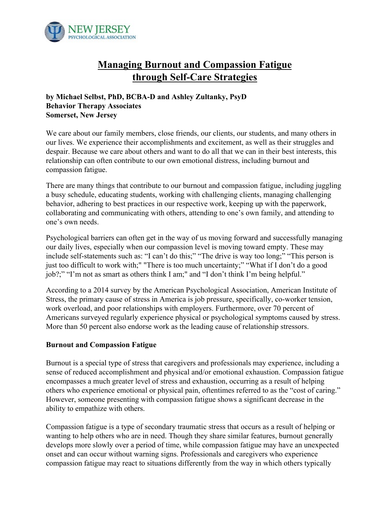

# **Managing Burnout and Compassion Fatigue through Self-Care Strategies**

## **by Michael Selbst, PhD, BCBA-D and Ashley Zultanky, PsyD Behavior Therapy Associates Somerset, New Jersey**

We care about our family members, close friends, our clients, our students, and many others in our lives. We experience their accomplishments and excitement, as well as their struggles and despair. Because we care about others and want to do all that we can in their best interests, this relationship can often contribute to our own emotional distress, including burnout and compassion fatigue.

There are many things that contribute to our burnout and compassion fatigue, including juggling a busy schedule, educating students, working with challenging clients, managing challenging behavior, adhering to best practices in our respective work, keeping up with the paperwork, collaborating and communicating with others, attending to one's own family, and attending to one's own needs.

Psychological barriers can often get in the way of us moving forward and successfully managing our daily lives, especially when our compassion level is moving toward empty. These may include self-statements such as: "I can't do this;" "The drive is way too long;" "This person is just too difficult to work with;" "There is too much uncertainty;" "What if I don't do a good job?;" "I'm not as smart as others think I am;" and "I don't think I'm being helpful."

According to a 2014 survey by the American Psychological Association, American Institute of Stress, the primary cause of stress in America is job pressure, specifically, co-worker tension, work overload, and poor relationships with employers. Furthermore, over 70 percent of Americans surveyed regularly experience physical or psychological symptoms caused by stress. More than 50 percent also endorse work as the leading cause of relationship stressors.

## **Burnout and Compassion Fatigue**

Burnout is a special type of stress that caregivers and professionals may experience, including a sense of reduced accomplishment and physical and/or emotional exhaustion. Compassion fatigue encompasses a much greater level of stress and exhaustion, occurring as a result of helping others who experience emotional or physical pain, oftentimes referred to as the "cost of caring." However, someone presenting with compassion fatigue shows a significant decrease in the ability to empathize with others.

Compassion fatigue is a type of secondary traumatic stress that occurs as a result of helping or wanting to help others who are in need. Though they share similar features, burnout generally develops more slowly over a period of time, while compassion fatigue may have an unexpected onset and can occur without warning signs. Professionals and caregivers who experience compassion fatigue may react to situations differently from the way in which others typically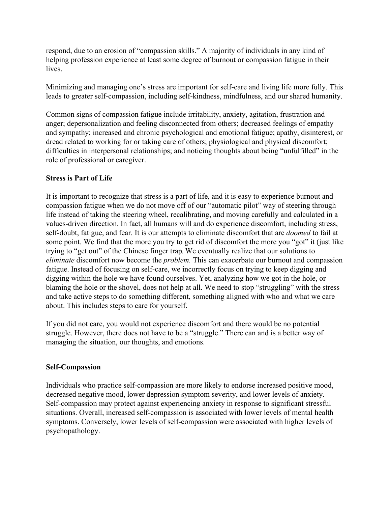respond, due to an erosion of "compassion skills." A majority of individuals in any kind of helping profession experience at least some degree of burnout or compassion fatigue in their lives.

Minimizing and managing one's stress are important for self-care and living life more fully. This leads to greater self-compassion, including self-kindness, mindfulness, and our shared humanity.

Common signs of compassion fatigue include irritability, anxiety, agitation, frustration and anger; depersonalization and feeling disconnected from others; decreased feelings of empathy and sympathy; increased and chronic psychological and emotional fatigue; apathy, disinterest, or dread related to working for or taking care of others; physiological and physical discomfort; difficulties in interpersonal relationships; and noticing thoughts about being "unfulfilled" in the role of professional or caregiver.

## **Stress is Part of Life**

It is important to recognize that stress is a part of life, and it is easy to experience burnout and compassion fatigue when we do not move off of our "automatic pilot" way of steering through life instead of taking the steering wheel, recalibrating, and moving carefully and calculated in a values-driven direction. In fact, all humans will and do experience discomfort, including stress, self-doubt, fatigue, and fear. It is our attempts to eliminate discomfort that are *doomed* to fail at some point. We find that the more you try to get rid of discomfort the more you "got" it (just like trying to "get out" of the Chinese finger trap. We eventually realize that our solutions to *eliminate* discomfort now become the *problem.* This can exacerbate our burnout and compassion fatigue. Instead of focusing on self-care, we incorrectly focus on trying to keep digging and digging within the hole we have found ourselves. Yet, analyzing how we got in the hole, or blaming the hole or the shovel, does not help at all. We need to stop "struggling" with the stress and take active steps to do something different, something aligned with who and what we care about. This includes steps to care for yourself.

If you did not care, you would not experience discomfort and there would be no potential struggle. However, there does not have to be a "struggle." There can and is a better way of managing the situation, our thoughts, and emotions.

#### **Self-Compassion**

Individuals who practice self-compassion are more likely to endorse increased positive mood, decreased negative mood, lower depression symptom severity, and lower levels of anxiety. Self-compassion may protect against experiencing anxiety in response to significant stressful situations. Overall, increased self-compassion is associated with lower levels of mental health symptoms. Conversely, lower levels of self-compassion were associated with higher levels of psychopathology.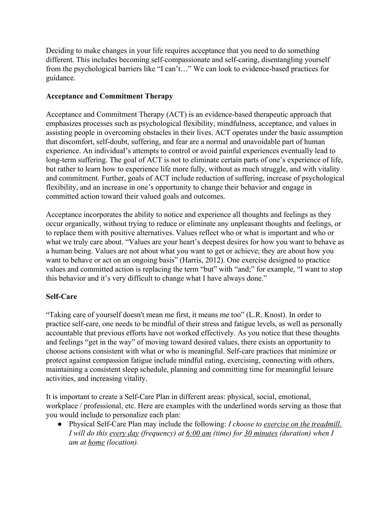Deciding to make changes in your life requires acceptance that you need to do something different. This includes becoming self-compassionate and self-caring, disentangling yourself from the psychological barriers like "I can't…" We can look to evidence-based practices for guidance.

## **Acceptance and Commitment Therapy**

Acceptance and Commitment Therapy (ACT) is an evidence-based therapeutic approach that emphasizes processes such as psychological flexibility, mindfulness, acceptance, and values in assisting people in overcoming obstacles in their lives. ACT operates under the basic assumption that discomfort, self-doubt, suffering, and fear are a normal and unavoidable part of human experience. An individual's attempts to control or avoid painful experiences eventually lead to long-term suffering. The goal of ACT is not to eliminate certain parts of one's experience of life, but rather to learn how to experience life more fully, without as much struggle, and with vitality and commitment. Further, goals of ACT include reduction of suffering, increase of psychological flexibility, and an increase in one's opportunity to change their behavior and engage in committed action toward their valued goals and outcomes.

Acceptance incorporates the ability to notice and experience all thoughts and feelings as they occur organically, without trying to reduce or eliminate any unpleasant thoughts and feelings, or to replace them with positive alternatives. Values reflect who or what is important and who or what we truly care about. "Values are your heart's deepest desires for how you want to behave as a human being. Values are not about what you want to get or achieve; they are about how you want to behave or act on an ongoing basis" (Harris, 2012). One exercise designed to practice values and committed action is replacing the term "but" with "and;" for example, "I want to stop this behavior and it's very difficult to change what I have always done."

## **Self-Care**

"Taking care of yourself doesn't mean me first, it means me too" (L.R. Knost). In order to practice self-care, one needs to be mindful of their stress and fatigue levels, as well as personally accountable that previous efforts have not worked effectively. As you notice that these thoughts and feelings "get in the way" of moving toward desired values, there exists an opportunity to choose actions consistent with what or who is meaningful. Self-care practices that minimize or protect against compassion fatigue include mindful eating, exercising, connecting with others, maintaining a consistent sleep schedule, planning and committing time for meaningful leisure activities, and increasing vitality.

It is important to create a Self-Care Plan in different areas: physical, social, emotional, workplace / professional, etc. Here are examples with the underlined words serving as those that you would include to personalize each plan:

*●* Physical Self-Care Plan may include the following: *I choose to exercise on the treadmill. I will do this every day (frequency) at 6:00 am (time) for 30 minutes (duration) when I am at home (location).*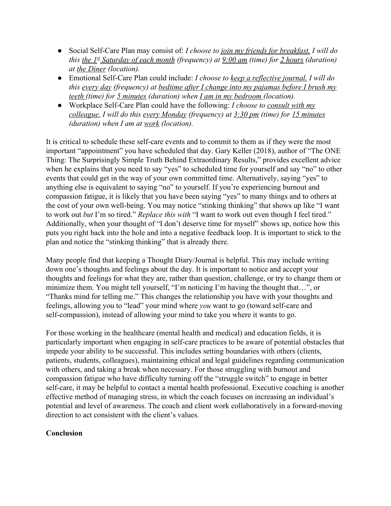- Social Self-Care Plan may consist of: *I choose to join my friends for breakfast. I will do this the*  $1<sup>st</sup>$  *Saturday of each month (frequency) at*  $9:00$  *am (time) for 2 hours (duration) at the Diner (location).*
- Emotional Self-Care Plan could include: *I choose to keep a reflective journal. I will do this every day (frequency) at bedtime after I change into my pajamas before I brush my teeth (time) for 5 minutes (duration) when I am in my bedroom (location).*
- *●* Workplace Self-Care Plan could have the following: *I choose to consult with my colleague. I will do this every Monday (frequency) at 3:30 pm (time) for 15 minutes (duration) when I am at work (location).*

It is critical to schedule these self-care events and to commit to them as if they were the most important "appointment" you have scheduled that day. Gary Keller (2018), author of "The ONE Thing: The Surprisingly Simple Truth Behind Extraordinary Results," provides excellent advice when he explains that you need to say "yes" to scheduled time for yourself and say "no" to other events that could get in the way of your own committed time. Alternatively, saying "yes" to anything else is equivalent to saying "no" to yourself. If you're experiencing burnout and compassion fatigue, it is likely that you have been saying "yes" to many things and to others at the cost of your own well-being. You may notice "stinking thinking" that shows up like "I want to work out *but* I'm so tired." *Replace this with* "I want to work out even though I feel tired." Additionally, when your thought of "I don't deserve time for myself" shows up, notice how this puts you right back into the hole and into a negative feedback loop. It is important to stick to the plan and notice the "stinking thinking" that is already there.

Many people find that keeping a Thought Diary/Journal is helpful. This may include writing down one's thoughts and feelings about the day. It is important to notice and accept your thoughts and feelings for what they are, rather than question, challenge, or try to change them or minimize them. You might tell yourself, "I'm noticing I'm having the thought that…", or "Thanks mind for telling me." This changes the relationship you have with your thoughts and feelings, allowing you to "lead" your mind where *you* want to go (toward self-care and self-compassion), instead of allowing your mind to take you where it wants to go.

For those working in the healthcare (mental health and medical) and education fields, it is particularly important when engaging in self-care practices to be aware of potential obstacles that impede your ability to be successful. This includes setting boundaries with others (clients, patients, students, colleagues), maintaining ethical and legal guidelines regarding communication with others, and taking a break when necessary. For those struggling with burnout and compassion fatigue who have difficulty turning off the "struggle switch" to engage in better self-care, it may be helpful to contact a mental health professional. Executive coaching is another effective method of managing stress, in which the coach focuses on increasing an individual's potential and level of awareness. The coach and client work collaboratively in a forward-moving direction to act consistent with the client's values.

## **Conclusion**